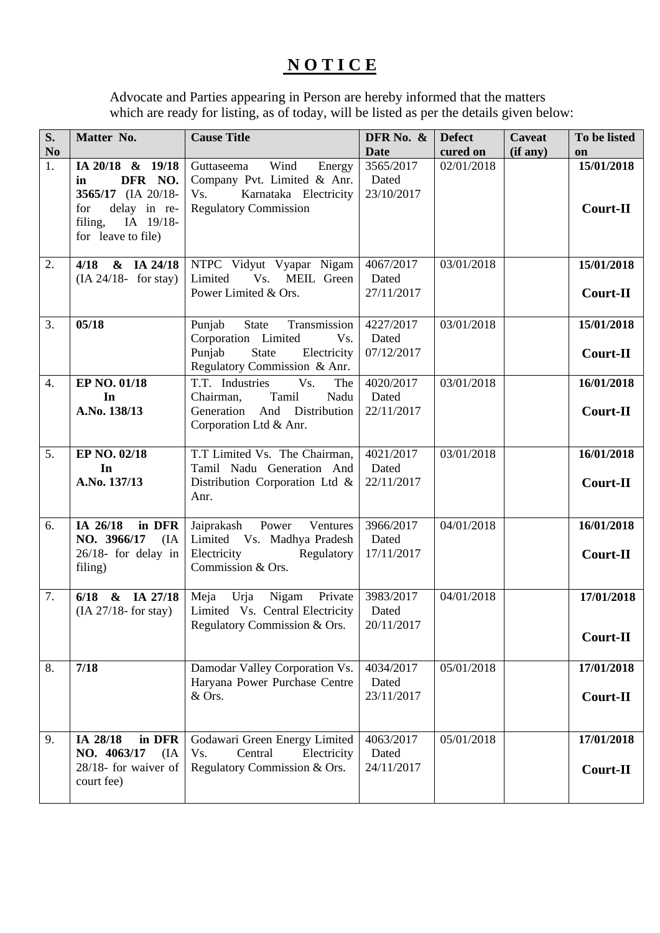## **N O T I C E**

Advocate and Parties appearing in Person are hereby informed that the matters which are ready for listing, as of today, will be listed as per the details given below:

| S.<br>N <sub>0</sub> | Matter No.                                                                                                                   | <b>Cause Title</b>                                                                                                                     | DFR No. &<br><b>Date</b>         | <b>Defect</b><br>cured on | <b>Caveat</b><br>(if any) | To be listed<br>on            |
|----------------------|------------------------------------------------------------------------------------------------------------------------------|----------------------------------------------------------------------------------------------------------------------------------------|----------------------------------|---------------------------|---------------------------|-------------------------------|
| $\overline{1}$ .     | IA 20/18 & 19/18<br>DFR NO.<br>in<br>3565/17 (IA 20/18-<br>delay in re-<br>for<br>filing,<br>IA 19/18-<br>for leave to file) | Wind<br>Guttaseema<br>Energy<br>Company Pvt. Limited & Anr.<br>Karnataka Electricity<br>Vs.<br><b>Regulatory Commission</b>            | 3565/2017<br>Dated<br>23/10/2017 | 02/01/2018                |                           | 15/01/2018<br><b>Court-II</b> |
| 2.                   | & IA 24/18<br>4/18<br>$(IA 24/18$ - for stay)                                                                                | NTPC Vidyut Vyapar Nigam<br>Limited<br>Vs.<br>MEIL Green<br>Power Limited & Ors.                                                       | 4067/2017<br>Dated<br>27/11/2017 | 03/01/2018                |                           | 15/01/2018<br><b>Court-II</b> |
| 3.                   | 05/18                                                                                                                        | State<br>Transmission<br>Punjab<br>Corporation Limited<br>Vs.<br><b>State</b><br>Punjab<br>Electricity<br>Regulatory Commission & Anr. | 4227/2017<br>Dated<br>07/12/2017 | 03/01/2018                |                           | 15/01/2018<br>Court-II        |
| $\overline{4}$ .     | EP NO. 01/18<br>In<br>A.No. 138/13                                                                                           | T.T. Industries<br>Vs.<br>The<br>Tamil<br>Nadu<br>Chairman,<br>Generation And Distribution<br>Corporation Ltd & Anr.                   | 4020/2017<br>Dated<br>22/11/2017 | 03/01/2018                |                           | 16/01/2018<br><b>Court-II</b> |
| 5.                   | EP NO. 02/18<br>In<br>A.No. 137/13                                                                                           | T.T Limited Vs. The Chairman,<br>Tamil Nadu Generation And<br>Distribution Corporation Ltd &<br>Anr.                                   | 4021/2017<br>Dated<br>22/11/2017 | 03/01/2018                |                           | 16/01/2018<br>Court-II        |
| 6.                   | IA 26/18<br>in DFR<br>NO. 3966/17<br>(IA<br>$26/18$ - for delay in<br>filing)                                                | Power<br>Ventures<br>Jaiprakash<br>Limited Vs. Madhya Pradesh<br>Electricity<br>Regulatory<br>Commission & Ors.                        | 3966/2017<br>Dated<br>17/11/2017 | 04/01/2018                |                           | 16/01/2018<br><b>Court-II</b> |
| 7.                   | & IA 27/18<br>6/18<br>(IA 27/18 <sup>5</sup> for stay)                                                                       | Urja<br>Nigam<br>Private<br>Meja<br>Limited Vs. Central Electricity<br>Regulatory Commission & Ors.                                    | 3983/2017<br>Dated<br>20/11/2017 | 04/01/2018                |                           | 17/01/2018<br>Court-II        |
| 8.                   | 7/18                                                                                                                         | Damodar Valley Corporation Vs.<br>Haryana Power Purchase Centre<br>& Ors.                                                              | 4034/2017<br>Dated<br>23/11/2017 | 05/01/2018                |                           | 17/01/2018<br><b>Court-II</b> |
| 9.                   | IA 28/18<br>in DFR<br>NO. 4063/17<br>(IA)<br>$28/18$ - for waiver of<br>court fee)                                           | Godawari Green Energy Limited<br>Central<br>Vs.<br>Electricity<br>Regulatory Commission & Ors.                                         | 4063/2017<br>Dated<br>24/11/2017 | 05/01/2018                |                           | 17/01/2018<br>Court-II        |